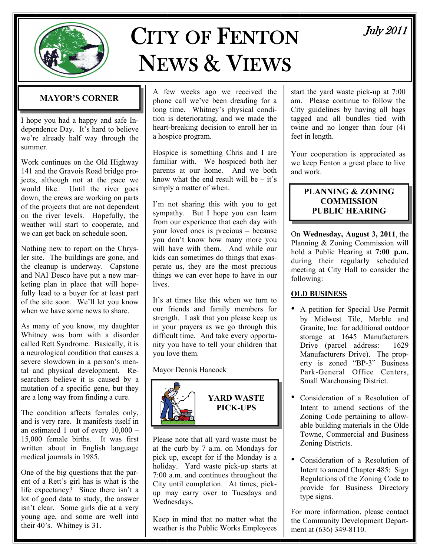

# CITY OF FENTON NEWS & VIEWS

# July 2011

# **MAYOR'S CORNER**

I hope you had a happy and safe Independence Day. It's hard to believe we're already half way through the summer.

Work continues on the Old Highway 141 and the Gravois Road bridge projects, although not at the pace we would like. Until the river goes down, the crews are working on parts of the projects that are not dependent on the river levels. Hopefully, the weather will start to cooperate, and we can get back on schedule soon.

Nothing new to report on the Chrysler site. The buildings are gone, and the cleanup is underway. Capstone and NAI Desco have put a new marketing plan in place that will hopefully lead to a buyer for at least part of the site soon. We'll let you know when we have some news to share.

As many of you know, my daughter Whitney was born with a disorder called Rett Syndrome. Basically, it is a neurological condition that causes a severe slowdown in a person's mental and physical development. Researchers believe it is caused by a mutation of a specific gene, but they are a long way from finding a cure.

The condition affects females only, and is very rare. It manifests itself in an estimated 1 out of every 10,000 – 15,000 female births. It was first written about in English language medical journals in 1985.

One of the big questions that the parent of a Rett's girl has is what is the life expectancy? Since there isn't a lot of good data to study, the answer isn't clear. Some girls die at a very young age, and some are well into their 40's. Whitney is 31.

A few weeks ago we received the phone call we've been dreading for a long time. Whitney's physical condition is deteriorating, and we made the heart-breaking decision to enroll her in a hospice program.

Hospice is something Chris and I are familiar with. We hospiced both her parents at our home. And we both know what the end result will be  $-$  it's simply a matter of when.

I'm not sharing this with you to get sympathy. But I hope you can learn from our experience that each day with your loved ones is precious – because you don't know how many more you will have with them. And while our kids can sometimes do things that exasperate us, they are the most precious things we can ever hope to have in our **lives** 

It's at times like this when we turn to our friends and family members for strength. I ask that you please keep us in your prayers as we go through this difficult time. And take every opportunity you have to tell your children that you love them.

# Mayor Dennis Hancock



**YARD WASTE PICK-UPS** 

Please note that all yard waste must be at the curb by 7 a.m. on Mondays for pick up, except for if the Monday is a holiday. Yard waste pick-up starts at 7:00 a.m. and continues throughout the City until completion. At times, pickup may carry over to Tuesdays and Wednesdays.

Keep in mind that no matter what the weather is the Public Works Employees

start the yard waste pick-up at 7:00 am. Please continue to follow the City guidelines by having all bags tagged and all bundles tied with twine and no longer than four (4) feet in length.

Your cooperation is appreciated as we keep Fenton a great place to live and work.

# **PLANNING & ZONING COMMISSION PUBLIC HEARING**

On **Wednesday, August 3, 2011**, the Planning & Zoning Commission will hold a Public Hearing at **7:00 p.m.**  during their regularly scheduled meeting at City Hall to consider the following:

# **OLD BUSINESS**

- A petition for Special Use Permit by Midwest Tile, Marble and Granite, Inc. for additional outdoor storage at 1645 Manufacturers Drive (parcel address: 1629) Manufacturers Drive). The property is zoned "BP-3" Business Park-General Office Centers, Small Warehousing District.
- Consideration of a Resolution of Intent to amend sections of the Zoning Code pertaining to allowable building materials in the Olde Towne, Commercial and Business Zoning Districts.
- Consideration of a Resolution of Intent to amend Chapter 485: Sign Regulations of the Zoning Code to provide for Business Directory type signs.

For more information, please contact the Community Development Department at (636) 349-8110.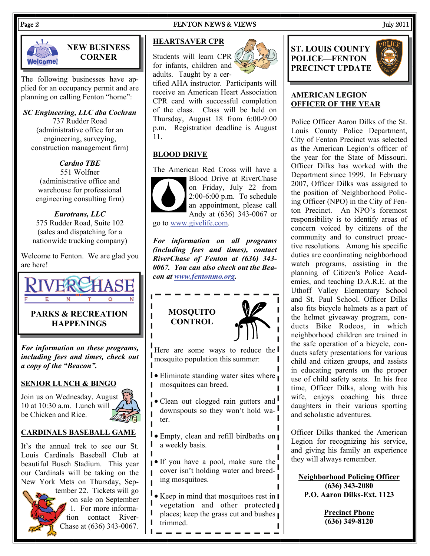# Welcome!

# **NEW BUSINESS CORNER**

The following businesses have applied for an occupancy permit and are planning on calling Fenton "home":

*SC Engineering, LLC dba Cochran*  737 Rudder Road (administrative office for an engineering, surveying, construction management firm)

# *Cardno TBE*

551 Wolfner (administrative office and warehouse for professional engineering consulting firm)

*Eurotrans, LLC*  575 Rudder Road, Suite 102 (sales and dispatching for a nationwide trucking company)

Welcome to Fenton. We are glad you are here!



# **PARKS & RECREATION HAPPENINGS**

*For information on these programs, including fees and times, check out a copy of the "Beacon".* 

# **SENIOR LUNCH & BINGO**

Join us on Wednesday, August 10 at 10:30 a.m. Lunch will be Chicken and Rice.

ı

 $\blacksquare$ 

# **CARDINALS BASEBALL GAME**

It's the annual trek to see our St. Louis Cardinals Baseball Club at beautiful Busch Stadium. This year our Cardinals will be taking on the New York Mets on Thursday, Sep-



tember 22. Tickets will go on sale on September 1. For more information contact River-Chase at (636) 343-0067.

# Page 2 FENTON NEWS & VIEWS July 2011

# **HEARTSAVER CPR**

Students will learn CPR for infants, children and adults. Taught by a cer-



tified AHA instructor. Participants will receive an American Heart Association CPR card with successful completion of the class. Class will be held on Thursday, August 18 from 6:00-9:00 p.m. Registration deadline is August 11.

# **BLOOD DRIVE**

The American Red Cross will have a



Blood Drive at RiverChase on Friday, July 22 from 2:00-6:00 p.m. To schedule an appointment, please call Andy at (636) 343-0067 or

go to [www.givelife.com](http://www.givelife.com).

*For information on all programs (including fees and times), contact RiverChase of Fenton at (636) 343- 0067. You can also check out the Beacon at [www.fentonmo.org](http://www.fentonmo.org/).*

# **MOSQUITO CONTROL**



Here are some ways to reduce the mosquito population this summer:

- **•** Eliminate standing water sites where mosquitoes can breed. I
- $\mathbf{I}$ • Clean out clogged rain gutters and downspouts so they won't hold water.
- **•** Empty, clean and refill birdbaths on I a weekly basis.
- If you have a pool, make sure the cover isn't holding water and breed- $\mathbf{L}$ ing mosquitoes.
- Keep in mind that mosquitoes rest in П vegetation and other protected I places; keep the grass cut and bushes trimmed.

# **ST. LOUIS COUNTY POLICE—FENTON PRECINCT UPDATE**



### **AMERICAN LEGION OFFICER OF THE YEAR**

Police Officer Aaron Dilks of the St. Louis County Police Department, City of Fenton Precinct was selected as the American Legion's officer of the year for the State of Missouri. Officer Dilks has worked with the Department since 1999. In February 2007, Officer Dilks was assigned to the position of Neighborhood Policing Officer (NPO) in the City of Fenton Precinct. An NPO's foremost responsibility is to identify areas of concern voiced by citizens of the community and to construct proactive resolutions. Among his specific duties are coordinating neighborhood watch programs, assisting in the planning of Citizen's Police Academies, and teaching D.A.R.E. at the Uthoff Valley Elementary School and St. Paul School. Officer Dilks also fits bicycle helmets as a part of the helmet giveaway program, conducts Bike Rodeos, in which neighborhood children are trained in the safe operation of a bicycle, conducts safety presentations for various child and citizen groups, and assists in educating parents on the proper use of child safety seats. In his free time, Officer Dilks, along with his wife, enjoys coaching his three daughters in their various sporting and scholastic adventures.

Officer Dilks thanked the American Legion for recognizing his service, and giving his family an experience they will always remember.

**Neighborhood Policing Officer (636) 343-2080 P.O. Aaron Dilks-Ext. 1123** 

> **Precinct Phone (636) 349-8120**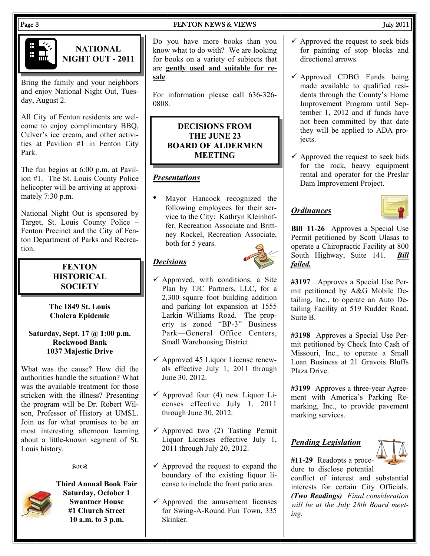

# **NATIONAL NIGHT OUT - 2011**

Bring the family and your neighbors and enjoy National Night Out, Tuesday, August 2.

All City of Fenton residents are welcome to enjoy complimentary BBQ, Culver's ice cream, and other activities at Pavilion #1 in Fenton City Park.

The fun begins at 6:00 p.m. at Pavilion #1. The St. Louis County Police helicopter will be arriving at approximately 7:30 p.m.

National Night Out is sponsored by Target, St. Louis County Police – Fenton Precinct and the City of Fenton Department of Parks and Recreation.

# **FENTON HISTORICAL SOCIETY**

**The 1849 St. Louis Cholera Epidemic** 

### **Saturday, Sept. 17 @ 1:00 p.m. Rockwood Bank 1037 Majestic Drive**

What was the cause? How did the authorities handle the situation? What was the available treatment for those stricken with the illness? Presenting the program will be Dr. Robert Wilson, Professor of History at UMSL. Join us for what promises to be an most interesting afternoon learning about a little-known segment of St. Louis history.

### $20Q$



**Third Annual Book Fair Saturday, October 1 Swantner House #1 Church Street 10 a.m. to 3 p.m.** 

## Page 3 FENTON NEWS & VIEWS 3 FENTON NEWS 3 FENTON NEWS 3 FENTON NEWS 3 FEMT ON 18 FENTON NEWS 3 FEMT ON 18 TH

Do you have more books than you know what to do with? We are looking for books on a variety of subjects that are **gently used and suitable for resale**.

For information please call 636-326- 0808.

# **DECISIONS FROM THE JUNE 23 BOARD OF ALDERMEN MEETING**

# *Presentations*

• Mayor Hancock recognized the following employees for their service to the City: Kathryn Kleinhoffer, Recreation Associate and Brittney Rockel, Recreation Associate, both for 5 years.

# *Decisions*



- $\checkmark$  Approved, with conditions, a Site Plan by TJC Partners, LLC, for a 2,300 square foot building addition and parking lot expansion at 1555 Larkin Williams Road. The property is zoned "BP-3" Business Park—General Office Centers, Small Warehousing District.
- $\checkmark$  Approved 45 Liquor License renewals effective July 1, 2011 through June 30, 2012.
- $\checkmark$  Approved four (4) new Liquor Licenses effective July 1, 2011 through June 30, 2012.
- $\checkmark$  Approved two (2) Tasting Permit Liquor Licenses effective July 1, 2011 through July 20, 2012.
- $\checkmark$  Approved the request to expand the boundary of the existing liquor license to include the front patio area.
- $\checkmark$  Approved the amusement licenses for Swing-A-Round Fun Town, 335 Skinker.

- $\checkmark$  Approved the request to seek bids for painting of stop blocks and directional arrows.
- $\checkmark$  Approved CDBG Funds being made available to qualified residents through the County's Home Improvement Program until September 1, 2012 and if funds have not been committed by that date they will be applied to ADA projects.
- $\checkmark$  Approved the request to seek bids for the rock, heavy equipment rental and operator for the Preslar Dam Improvement Project.

# *Ordinances*



**Bill 11-26** Approves a Special Use Permit petitioned by Scott Ulasas to operate a Chiropractic Facility at 800 South Highway, Suite 141. *Bill failed.*

**#3197** Approves a Special Use Permit petitioned by A&G Mobile Detailing, Inc., to operate an Auto Detailing Facility at 519 Rudder Road, Suite B.

**#3198** Approves a Special Use Permit petitioned by Check Into Cash of Missouri, Inc., to operate a Small Loan Business at 21 Gravois Bluffs Plaza Drive.

**#3199** Approves a three-year Agreement with America's Parking Remarking, Inc., to provide pavement marking services.

# *Pending Legislation*



**#11-29** Readopts a procedure to disclose potential conflict of interest and substantial

interests for certain City Officials. *(Two Readings) Final consideration will be at the July 28th Board meeting.*